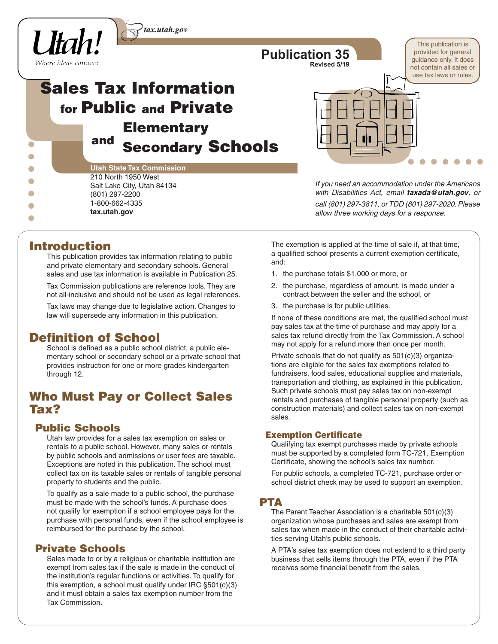

# **Sales Tax Information for Public and Private Elementary and Secondary Schools**

| <b>Utah State Tax Commission</b> |
|----------------------------------|
| 210 North 1950 West              |
| Salt Lake City, Utah 84134       |
| (801) 297-2200                   |
| 1-800-662-4335                   |
| tax.utah.gov                     |
|                                  |

*If you need an accommodation under the Americans with Disabilities Act, email taxada@utah.gov, or call (801) 297-3811, or TDD (801) 297-2020. Please allow three working days for a response.*

This publication is provided for general guidance only. It does not contain all sales or use tax laws or rules.

# **Introduction**

This publication provides tax information relating to public and private elementary and secondary schools. General sales and use tax information is available in Publication 25.

Tax Commission publications are reference tools. They are not all-inclusive and should not be used as legal references.

Tax laws may change due to legislative action. Changes to law will supersede any information in this publication.

# **Definition of School**

School is defined as a public school district, a public elementary school or secondary school or a private school that provides instruction for one or more grades kindergarten through 12.

# **Who Must Pay or Collect Sales Tax?**

### **Public Schools**

Utah law provides for a sales tax exemption on sales or rentals to a public school. However, many sales or rentals by public schools and admissions or user fees are taxable. Exceptions are noted in this publication. The school must collect tax on its taxable sales or rentals of tangible personal property to students and the public.

To qualify as a sale made to a public school, the purchase must be made with the school's funds. A purchase does not qualify for exemption if a school employee pays for the purchase with personal funds, even if the school employee is reimbursed for the purchase by the school.

### **Private Schools**

Sales made to or by a religious or charitable institution are exempt from sales tax if the sale is made in the conduct of the institution's regular functions or activities. To qualify for this exemption, a school must qualify under IRC §501(c)(3) and it must obtain a sales tax exemption number from the Tax Commission.

The exemption is applied at the time of sale if, at that time, a qualified school presents a current exemption certificate, and:

- 1. the purchase totals \$1,000 or more, or
- 2. the purchase, regardless of amount, is made under a contract between the seller and the school, or
- 3. the purchase is for public utilities.

**Publication 35**

**Revised 5/19**

If none of these conditions are met, the qualified school must pay sales tax at the time of purchase and may apply for a sales tax refund directly from the Tax Commission. A school may not apply for a refund more than once per month.

Private schools that do not qualify as 501(c)(3) organizations are eligible for the sales tax exemptions related to fundraisers, food sales, educational supplies and materials, transportation and clothing, as explained in this publication. Such private schools must pay sales tax on non-exempt rentals and purchases of tangible personal property (such as construction materials) and collect sales tax on non-exempt sales.

#### **Exemption Certificate**

Qualifying tax exempt purchases made by private schools must be supported by a completed form TC-721, Exemption Certificate, showing the school's sales tax number.

For public schools, a completed TC-721, purchase order or school district check may be used to support an exemption.

### **PTA**

The Parent Teacher Association is a charitable 501(c)(3) organization whose purchases and sales are exempt from sales tax when made in the conduct of their charitable activities serving Utah's public schools.

A PTA's sales tax exemption does not extend to a third party business that sells items through the PTA, even if the PTA receives some financial benefit from the sales.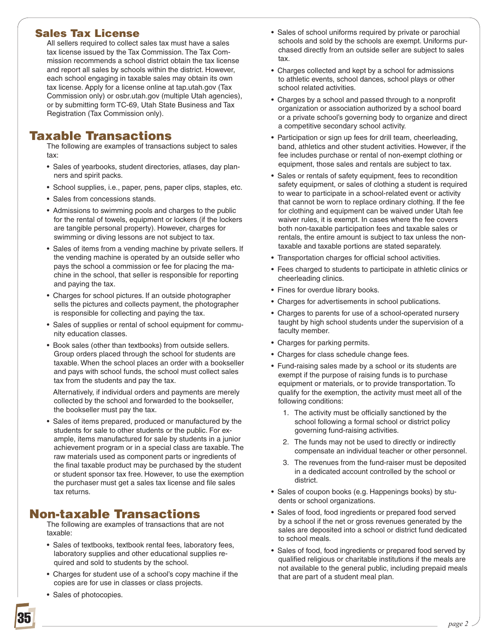### **Sales Tax License**

All sellers required to collect sales tax must have a sales tax license issued by the Tax Commission. The Tax Commission recommends a school district obtain the tax license and report all sales by schools within the district. However, each school engaging in taxable sales may obtain its own tax license. Apply for a license online at tap.utah.gov (Tax Commission only) or osbr.utah.gov (multiple Utah agencies), or by submitting form TC-69, Utah State Business and Tax Registration (Tax Commission only).

# **Taxable Transactions**

The following are examples of transactions subject to sales tax:

- Sales of yearbooks, student directories, atlases, day planners and spirit packs.
- School supplies, i.e., paper, pens, paper clips, staples, etc.
- Sales from concessions stands.
- Admissions to swimming pools and charges to the public for the rental of towels, equipment or lockers (if the lockers are tangible personal property). However, charges for swimming or diving lessons are not subject to tax.
- Sales of items from a vending machine by private sellers. If the vending machine is operated by an outside seller who pays the school a commission or fee for placing the machine in the school, that seller is responsible for reporting and paying the tax.
- Charges for school pictures. If an outside photographer sells the pictures and collects payment, the photographer is responsible for collecting and paying the tax.
- Sales of supplies or rental of school equipment for community education classes.
- Book sales (other than textbooks) from outside sellers. Group orders placed through the school for students are taxable. When the school places an order with a bookseller and pays with school funds, the school must collect sales tax from the students and pay the tax.

 Alternatively, if individual orders and payments are merely collected by the school and forwarded to the bookseller, the bookseller must pay the tax.

• Sales of items prepared, produced or manufactured by the students for sale to other students or the public. For example, items manufactured for sale by students in a junior achievement program or in a special class are taxable. The raw materials used as component parts or ingredients of the final taxable product may be purchased by the student or student sponsor tax free. However, to use the exemption the purchaser must get a sales tax license and file sales tax returns.

# **Non-taxable Transactions**

The following are examples of transactions that are not taxable:

- Sales of textbooks, textbook rental fees, laboratory fees, laboratory supplies and other educational supplies required and sold to students by the school.
- Charges for student use of a school's copy machine if the copies are for use in classes or class projects.
- Sales of photocopies.
- Sales of school uniforms required by private or parochial schools and sold by the schools are exempt. Uniforms purchased directly from an outside seller are subject to sales tax.
- Charges collected and kept by a school for admissions to athletic events, school dances, school plays or other school related activities.
- Charges by a school and passed through to a nonprofit organization or association authorized by a school board or a private school's governing body to organize and direct a competitive secondary school activity.
- Participation or sign up fees for drill team, cheerleading, band, athletics and other student activities. However, if the fee includes purchase or rental of non-exempt clothing or equipment, those sales and rentals are subject to tax.
- Sales or rentals of safety equipment, fees to recondition safety equipment, or sales of clothing a student is required to wear to participate in a school-related event or activity that cannot be worn to replace ordinary clothing. If the fee for clothing and equipment can be waived under Utah fee waiver rules, it is exempt. In cases where the fee covers both non-taxable participation fees and taxable sales or rentals, the entire amount is subject to tax unless the nontaxable and taxable portions are stated separately.
- Transportation charges for official school activities.
- Fees charged to students to participate in athletic clinics or cheerleading clinics.
- Fines for overdue library books.
- Charges for advertisements in school publications.
- Charges to parents for use of a school-operated nursery taught by high school students under the supervision of a faculty member.
- Charges for parking permits.
- Charges for class schedule change fees.
- Fund-raising sales made by a school or its students are exempt if the purpose of raising funds is to purchase equipment or materials, or to provide transportation. To qualify for the exemption, the activity must meet all of the following conditions:
	- 1. The activity must be officially sanctioned by the school following a formal school or district policy governing fund-raising activities.
	- 2. The funds may not be used to directly or indirectly compensate an individual teacher or other personnel.
	- 3. The revenues from the fund-raiser must be deposited in a dedicated account controlled by the school or district.
- Sales of coupon books (e.g. Happenings books) by students or school organizations.
- Sales of food, food ingredients or prepared food served by a school if the net or gross revenues generated by the sales are deposited into a school or district fund dedicated to school meals.
- Sales of food, food ingredients or prepared food served by qualified religious or charitable institutions if the meals are not available to the general public, including prepaid meals that are part of a student meal plan.